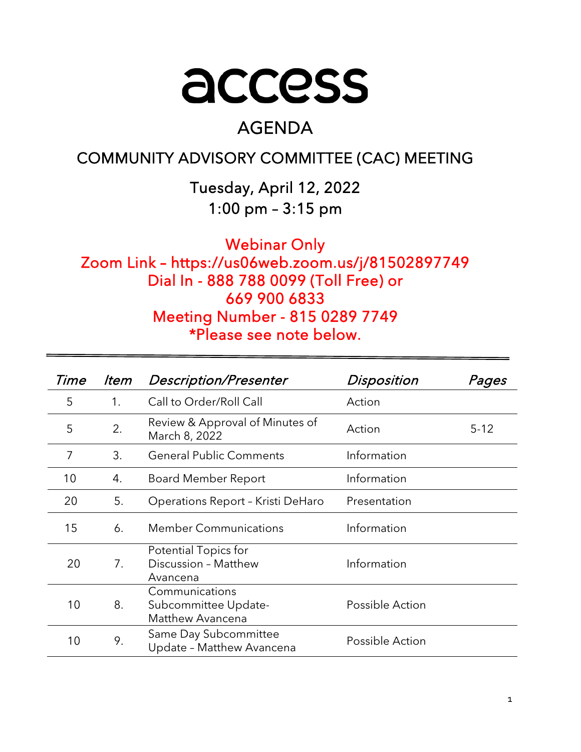

# AGENDA

## COMMUNITY ADVISORY COMMITTEE (CAC) MEETING

Tuesday, April 12, 2022 1:00 pm – 3:15 pm

Webinar Only Zoom Link – https://us06web.zoom.us/j/81502897749 Dial In - 888 788 0099 (Toll Free) or 669 900 6833 Meeting Number - 815 0289 7749 \*Please see note below.

| Time | ltem | <b>Description/Presenter</b>                               | Disposition     | Pages    |
|------|------|------------------------------------------------------------|-----------------|----------|
| 5    | 1.   | Call to Order/Roll Call                                    | Action          |          |
| 5    | 2.   | Review & Approval of Minutes of<br>March 8, 2022           | Action          | $5 - 12$ |
| 7    | 3.   | <b>General Public Comments</b>                             | Information     |          |
| 10   | 4.   | Board Member Report                                        | Information     |          |
| 20   | 5.   | Operations Report - Kristi DeHaro                          | Presentation    |          |
| 15   | 6.   | <b>Member Communications</b>                               | Information     |          |
| 20   | 7.   | Potential Topics for<br>Discussion - Matthew<br>Avancena   | Information     |          |
| 10   | 8.   | Communications<br>Subcommittee Update-<br>Matthew Avancena | Possible Action |          |
| 10   | 9.   | Same Day Subcommittee<br>Update - Matthew Avancena         | Possible Action |          |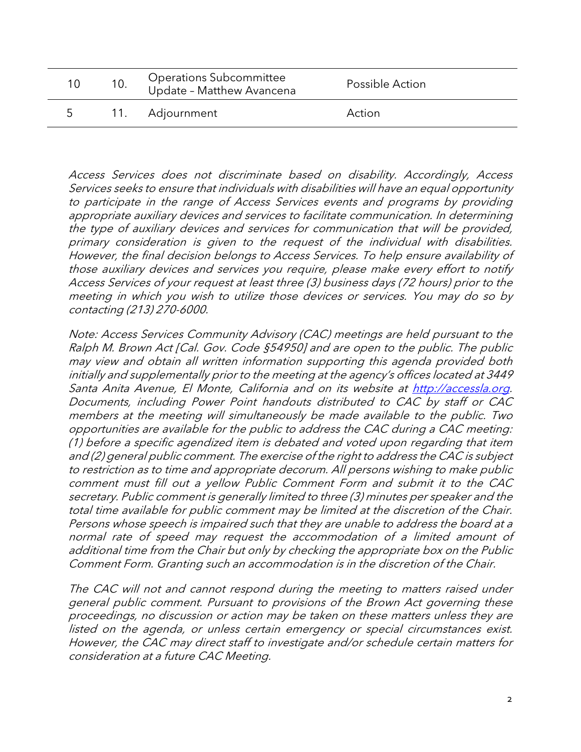|  | <b>Operations Subcommittee</b><br>Update - Matthew Avancena | Possible Action |
|--|-------------------------------------------------------------|-----------------|
|  | 11. Adjournment                                             | Action          |

Access Services does not discriminate based on disability. Accordingly, Access Services seeks to ensure that individuals with disabilities will have an equal opportunity to participate in the range of Access Services events and programs by providing appropriate auxiliary devices and services to facilitate communication. In determining the type of auxiliary devices and services for communication that will be provided, primary consideration is given to the request of the individual with disabilities. However, the final decision belongs to Access Services. To help ensure availability of those auxiliary devices and services you require, please make every effort to notify Access Services of your request at least three (3) business days (72 hours) prior to the meeting in which you wish to utilize those devices or services. You may do so by contacting (213) 270-6000.

Note: Access Services Community Advisory (CAC) meetings are held pursuant to the Ralph M. Brown Act [Cal. Gov. Code §54950] and are open to the public. The public may view and obtain all written information supporting this agenda provided both initially and supplementally prior to the meeting at the agency's offices located at 3449 Santa Anita Avenue, El Monte, California and on its website at [http://accessla.org.](http://accessla.org/) Documents, including Power Point handouts distributed to CAC by staff or CAC members at the meeting will simultaneously be made available to the public. Two opportunities are available for the public to address the CAC during a CAC meeting: (1) before a specific agendized item is debated and voted upon regarding that item and (2) general public comment. The exercise of the right to address the CAC is subject to restriction as to time and appropriate decorum. All persons wishing to make public comment must fill out a yellow Public Comment Form and submit it to the CAC secretary. Public comment is generally limited to three (3) minutes per speaker and the total time available for public comment may be limited at the discretion of the Chair. Persons whose speech is impaired such that they are unable to address the board at a normal rate of speed may request the accommodation of a limited amount of additional time from the Chair but only by checking the appropriate box on the Public Comment Form. Granting such an accommodation is in the discretion of the Chair.

The CAC will not and cannot respond during the meeting to matters raised under general public comment. Pursuant to provisions of the Brown Act governing these proceedings, no discussion or action may be taken on these matters unless they are listed on the agenda, or unless certain emergency or special circumstances exist. However, the CAC may direct staff to investigate and/or schedule certain matters for consideration at a future CAC Meeting.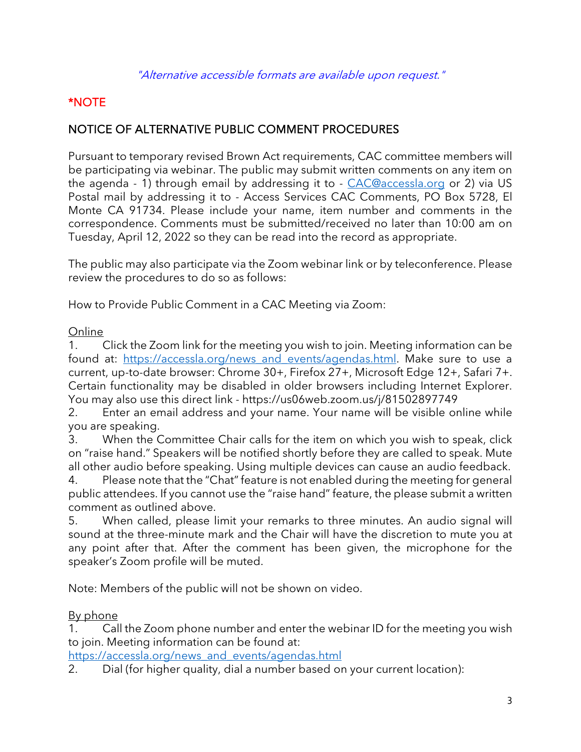## \*NOTE

## NOTICE OF ALTERNATIVE PUBLIC COMMENT PROCEDURES

Pursuant to temporary revised Brown Act requirements, CAC committee members will be participating via webinar. The public may submit written comments on any item on the agenda - 1) through email by addressing it to - [CAC@accessla.org](mailto:CAC@accessla.org) or 2) via US Postal mail by addressing it to - Access Services CAC Comments, PO Box 5728, El Monte CA 91734. Please include your name, item number and comments in the correspondence. Comments must be submitted/received no later than 10:00 am on Tuesday, April 12, 2022 so they can be read into the record as appropriate.

The public may also participate via the Zoom webinar link or by teleconference. Please review the procedures to do so as follows:

How to Provide Public Comment in a CAC Meeting via Zoom:

#### Online

1. Click the Zoom link for the meeting you wish to join. Meeting information can be found at: https://accessla.org/news and events/agendas.html. Make sure to use a current, up-to-date browser: Chrome 30+, Firefox 27+, Microsoft Edge 12+, Safari 7+. Certain functionality may be disabled in older browsers including Internet Explorer. You may also use this direct link - https://us06web.zoom.us/j/81502897749

2. Enter an email address and your name. Your name will be visible online while you are speaking.

3. When the Committee Chair calls for the item on which you wish to speak, click on "raise hand." Speakers will be notified shortly before they are called to speak. Mute all other audio before speaking. Using multiple devices can cause an audio feedback.

4. Please note that the "Chat" feature is not enabled during the meeting for general public attendees. If you cannot use the "raise hand" feature, the please submit a written comment as outlined above.

5. When called, please limit your remarks to three minutes. An audio signal will sound at the three-minute mark and the Chair will have the discretion to mute you at any point after that. After the comment has been given, the microphone for the speaker's Zoom profile will be muted.

Note: Members of the public will not be shown on video.

## By phone

1. Call the Zoom phone number and enter the webinar ID for the meeting you wish to join. Meeting information can be found at:

[https://accessla.org/news\\_and\\_events/agendas.html](https://accessla.org/news_and_events/agendas.html)

2. Dial (for higher quality, dial a number based on your current location):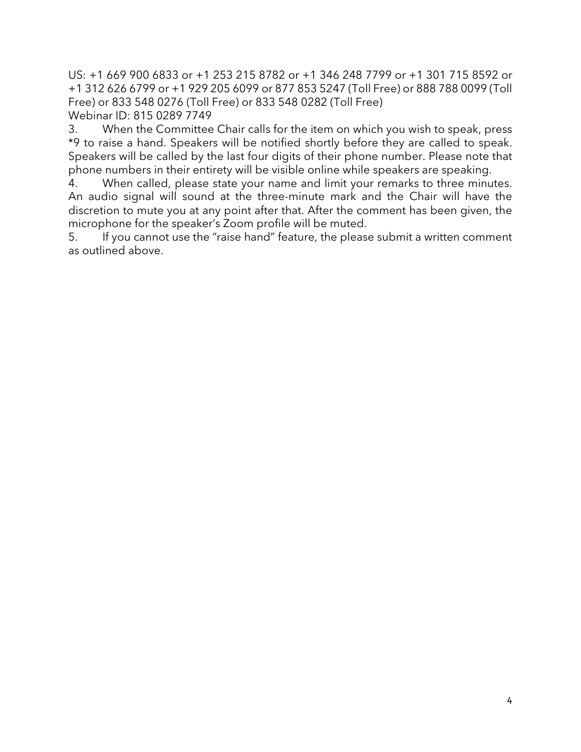US: +1 669 900 6833 or +1 253 215 8782 or +1 346 248 7799 or +1 301 715 8592 or +1 312 626 6799 or +1 929 205 6099 or 877 853 5247 (Toll Free) or 888 788 0099 (Toll Free) or 833 548 0276 (Toll Free) or 833 548 0282 (Toll Free) Webinar ID: 815 0289 7749

3. When the Committee Chair calls for the item on which you wish to speak, press \*9 to raise a hand. Speakers will be notified shortly before they are called to speak. Speakers will be called by the last four digits of their phone number. Please note that phone numbers in their entirety will be visible online while speakers are speaking.

4. When called, please state your name and limit your remarks to three minutes. An audio signal will sound at the three-minute mark and the Chair will have the discretion to mute you at any point after that. After the comment has been given, the microphone for the speaker's Zoom profile will be muted.

5. If you cannot use the "raise hand" feature, the please submit a written comment as outlined above.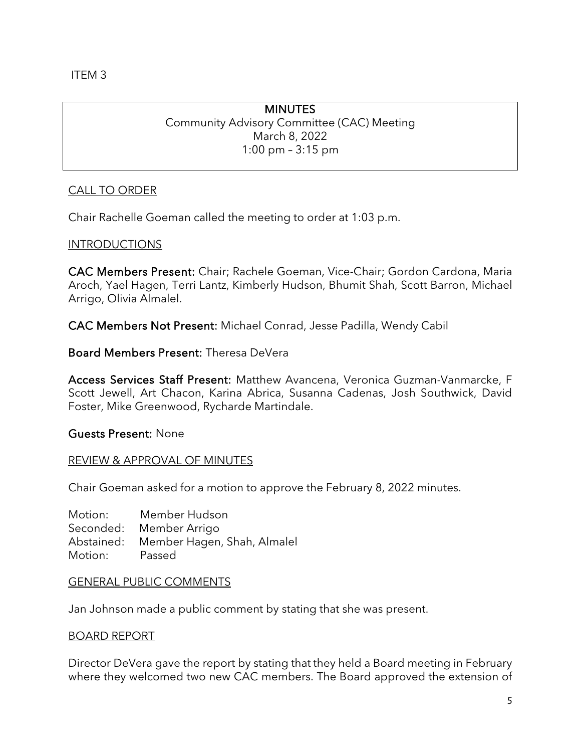ITEM 3

## **MINUTES**

Community Advisory Committee (CAC) Meeting March 8, 2022 1:00 pm – 3:15 pm

#### CALL TO ORDER

Chair Rachelle Goeman called the meeting to order at 1:03 p.m.

#### INTRODUCTIONS

CAC Members Present: Chair; Rachele Goeman, Vice-Chair; Gordon Cardona, Maria Aroch, Yael Hagen, Terri Lantz, Kimberly Hudson, Bhumit Shah, Scott Barron, Michael Arrigo, Olivia Almalel.

CAC Members Not Present: Michael Conrad, Jesse Padilla, Wendy Cabil

Board Members Present: Theresa DeVera

Access Services Staff Present: Matthew Avancena, Veronica Guzman-Vanmarcke, F Scott Jewell, Art Chacon, Karina Abrica, Susanna Cadenas, Josh Southwick, David Foster, Mike Greenwood, Rycharde Martindale.

#### Guests Present: None

#### REVIEW & APPROVAL OF MINUTES

Chair Goeman asked for a motion to approve the February 8, 2022 minutes.

Motion: Member Hudson Seconded: Member Arrigo Abstained: Member Hagen, Shah, Almalel Motion: Passed

#### GENERAL PUBLIC COMMENTS

Jan Johnson made a public comment by stating that she was present.

#### BOARD REPORT

Director DeVera gave the report by stating that they held a Board meeting in February where they welcomed two new CAC members. The Board approved the extension of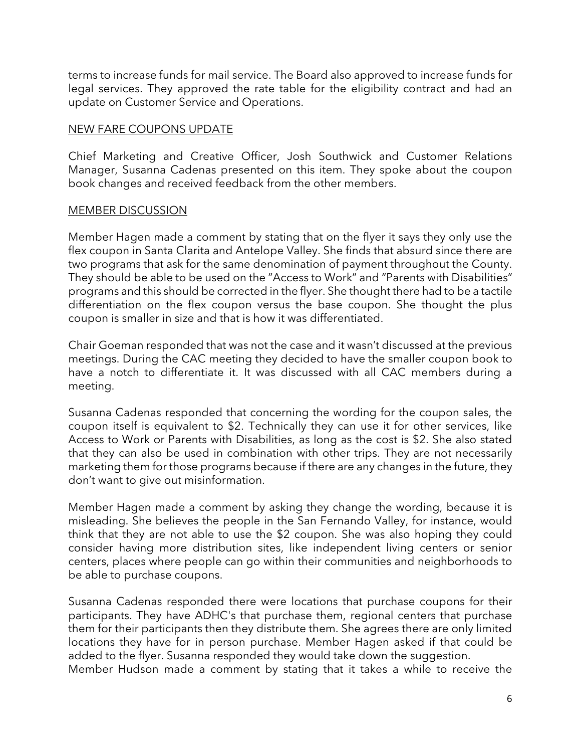terms to increase funds for mail service. The Board also approved to increase funds for legal services. They approved the rate table for the eligibility contract and had an update on Customer Service and Operations.

#### NEW FARE COUPONS UPDATE

Chief Marketing and Creative Officer, Josh Southwick and Customer Relations Manager, Susanna Cadenas presented on this item. They spoke about the coupon book changes and received feedback from the other members.

#### MEMBER DISCUSSION

Member Hagen made a comment by stating that on the flyer it says they only use the flex coupon in Santa Clarita and Antelope Valley. She finds that absurd since there are two programs that ask for the same denomination of payment throughout the County. They should be able to be used on the "Access to Work" and "Parents with Disabilities" programs and this should be corrected in the flyer. She thought there had to be a tactile differentiation on the flex coupon versus the base coupon. She thought the plus coupon is smaller in size and that is how it was differentiated.

Chair Goeman responded that was not the case and it wasn't discussed at the previous meetings. During the CAC meeting they decided to have the smaller coupon book to have a notch to differentiate it. It was discussed with all CAC members during a meeting.

Susanna Cadenas responded that concerning the wording for the coupon sales, the coupon itself is equivalent to \$2. Technically they can use it for other services, like Access to Work or Parents with Disabilities, as long as the cost is \$2. She also stated that they can also be used in combination with other trips. They are not necessarily marketing them for those programs because if there are any changes in the future, they don't want to give out misinformation.

Member Hagen made a comment by asking they change the wording, because it is misleading. She believes the people in the San Fernando Valley, for instance, would think that they are not able to use the \$2 coupon. She was also hoping they could consider having more distribution sites, like independent living centers or senior centers, places where people can go within their communities and neighborhoods to be able to purchase coupons.

Susanna Cadenas responded there were locations that purchase coupons for their participants. They have ADHC's that purchase them, regional centers that purchase them for their participants then they distribute them. She agrees there are only limited locations they have for in person purchase. Member Hagen asked if that could be added to the flyer. Susanna responded they would take down the suggestion. Member Hudson made a comment by stating that it takes a while to receive the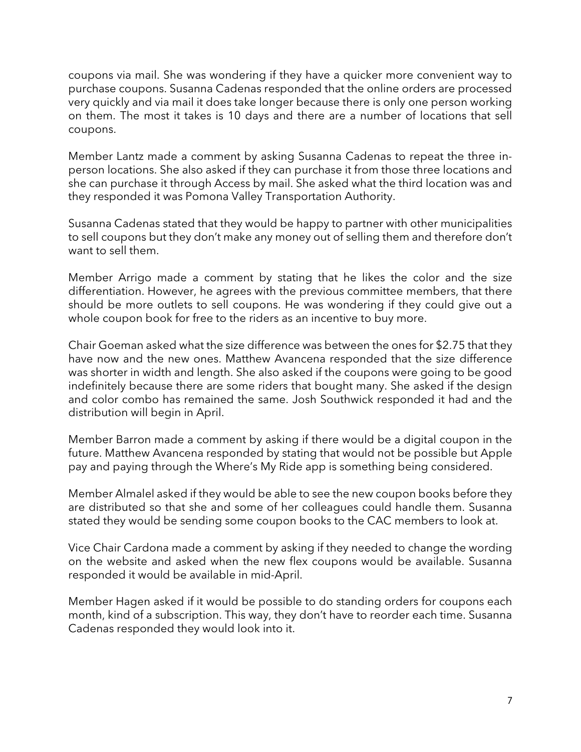coupons via mail. She was wondering if they have a quicker more convenient way to purchase coupons. Susanna Cadenas responded that the online orders are processed very quickly and via mail it does take longer because there is only one person working on them. The most it takes is 10 days and there are a number of locations that sell coupons.

Member Lantz made a comment by asking Susanna Cadenas to repeat the three inperson locations. She also asked if they can purchase it from those three locations and she can purchase it through Access by mail. She asked what the third location was and they responded it was Pomona Valley Transportation Authority.

Susanna Cadenas stated that they would be happy to partner with other municipalities to sell coupons but they don't make any money out of selling them and therefore don't want to sell them.

Member Arrigo made a comment by stating that he likes the color and the size differentiation. However, he agrees with the previous committee members, that there should be more outlets to sell coupons. He was wondering if they could give out a whole coupon book for free to the riders as an incentive to buy more.

Chair Goeman asked what the size difference was between the ones for \$2.75 that they have now and the new ones. Matthew Avancena responded that the size difference was shorter in width and length. She also asked if the coupons were going to be good indefinitely because there are some riders that bought many. She asked if the design and color combo has remained the same. Josh Southwick responded it had and the distribution will begin in April.

Member Barron made a comment by asking if there would be a digital coupon in the future. Matthew Avancena responded by stating that would not be possible but Apple pay and paying through the Where's My Ride app is something being considered.

Member Almalel asked if they would be able to see the new coupon books before they are distributed so that she and some of her colleagues could handle them. Susanna stated they would be sending some coupon books to the CAC members to look at.

Vice Chair Cardona made a comment by asking if they needed to change the wording on the website and asked when the new flex coupons would be available. Susanna responded it would be available in mid-April.

Member Hagen asked if it would be possible to do standing orders for coupons each month, kind of a subscription. This way, they don't have to reorder each time. Susanna Cadenas responded they would look into it.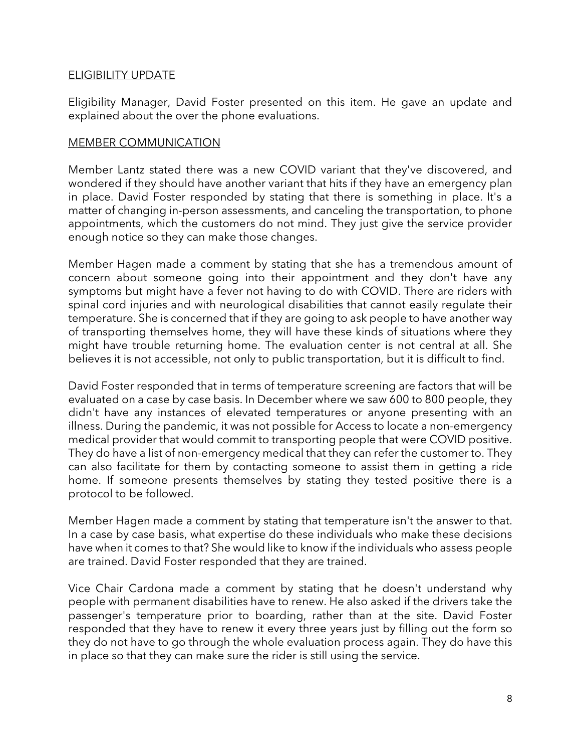#### ELIGIBILITY UPDATE

Eligibility Manager, David Foster presented on this item. He gave an update and explained about the over the phone evaluations.

#### MEMBER COMMUNICATION

Member Lantz stated there was a new COVID variant that they've discovered, and wondered if they should have another variant that hits if they have an emergency plan in place. David Foster responded by stating that there is something in place. It's a matter of changing in-person assessments, and canceling the transportation, to phone appointments, which the customers do not mind. They just give the service provider enough notice so they can make those changes.

Member Hagen made a comment by stating that she has a tremendous amount of concern about someone going into their appointment and they don't have any symptoms but might have a fever not having to do with COVID. There are riders with spinal cord injuries and with neurological disabilities that cannot easily regulate their temperature. She is concerned that if they are going to ask people to have another way of transporting themselves home, they will have these kinds of situations where they might have trouble returning home. The evaluation center is not central at all. She believes it is not accessible, not only to public transportation, but it is difficult to find.

David Foster responded that in terms of temperature screening are factors that will be evaluated on a case by case basis. In December where we saw 600 to 800 people, they didn't have any instances of elevated temperatures or anyone presenting with an illness. During the pandemic, it was not possible for Access to locate a non-emergency medical provider that would commit to transporting people that were COVID positive. They do have a list of non-emergency medical that they can refer the customer to. They can also facilitate for them by contacting someone to assist them in getting a ride home. If someone presents themselves by stating they tested positive there is a protocol to be followed.

Member Hagen made a comment by stating that temperature isn't the answer to that. In a case by case basis, what expertise do these individuals who make these decisions have when it comes to that? She would like to know if the individuals who assess people are trained. David Foster responded that they are trained.

Vice Chair Cardona made a comment by stating that he doesn't understand why people with permanent disabilities have to renew. He also asked if the drivers take the passenger's temperature prior to boarding, rather than at the site. David Foster responded that they have to renew it every three years just by filling out the form so they do not have to go through the whole evaluation process again. They do have this in place so that they can make sure the rider is still using the service.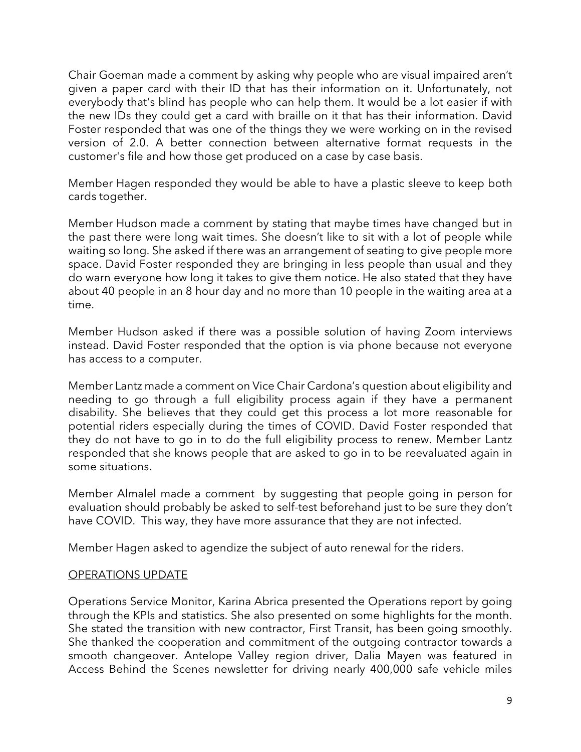Chair Goeman made a comment by asking why people who are visual impaired aren't given a paper card with their ID that has their information on it. Unfortunately, not everybody that's blind has people who can help them. It would be a lot easier if with the new IDs they could get a card with braille on it that has their information. David Foster responded that was one of the things they we were working on in the revised version of 2.0. A better connection between alternative format requests in the customer's file and how those get produced on a case by case basis.

Member Hagen responded they would be able to have a plastic sleeve to keep both cards together.

Member Hudson made a comment by stating that maybe times have changed but in the past there were long wait times. She doesn't like to sit with a lot of people while waiting so long. She asked if there was an arrangement of seating to give people more space. David Foster responded they are bringing in less people than usual and they do warn everyone how long it takes to give them notice. He also stated that they have about 40 people in an 8 hour day and no more than 10 people in the waiting area at a time.

Member Hudson asked if there was a possible solution of having Zoom interviews instead. David Foster responded that the option is via phone because not everyone has access to a computer.

Member Lantz made a comment on Vice Chair Cardona's question about eligibility and needing to go through a full eligibility process again if they have a permanent disability. She believes that they could get this process a lot more reasonable for potential riders especially during the times of COVID. David Foster responded that they do not have to go in to do the full eligibility process to renew. Member Lantz responded that she knows people that are asked to go in to be reevaluated again in some situations.

Member Almalel made a comment by suggesting that people going in person for evaluation should probably be asked to self-test beforehand just to be sure they don't have COVID. This way, they have more assurance that they are not infected.

Member Hagen asked to agendize the subject of auto renewal for the riders.

#### OPERATIONS UPDATE

Operations Service Monitor, Karina Abrica presented the Operations report by going through the KPIs and statistics. She also presented on some highlights for the month. She stated the transition with new contractor, First Transit, has been going smoothly. She thanked the cooperation and commitment of the outgoing contractor towards a smooth changeover. Antelope Valley region driver, Dalia Mayen was featured in Access Behind the Scenes newsletter for driving nearly 400,000 safe vehicle miles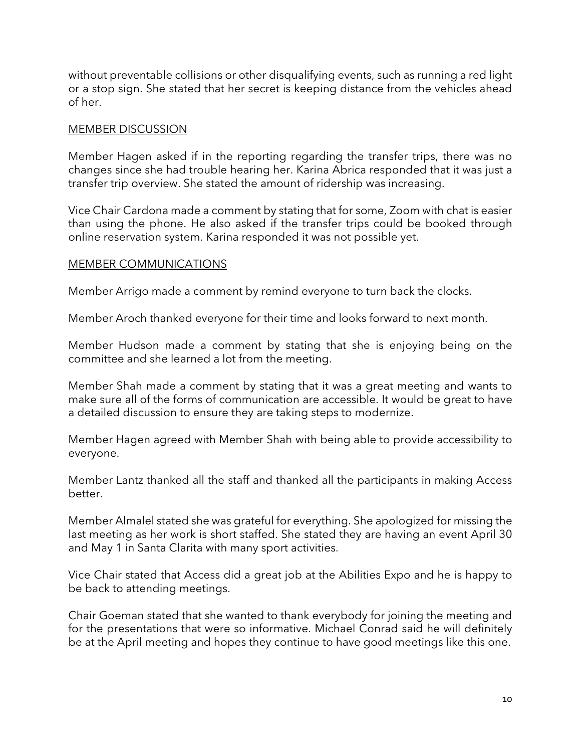without preventable collisions or other disqualifying events, such as running a red light or a stop sign. She stated that her secret is keeping distance from the vehicles ahead of her.

#### MEMBER DISCUSSION

Member Hagen asked if in the reporting regarding the transfer trips, there was no changes since she had trouble hearing her. Karina Abrica responded that it was just a transfer trip overview. She stated the amount of ridership was increasing.

Vice Chair Cardona made a comment by stating that for some, Zoom with chat is easier than using the phone. He also asked if the transfer trips could be booked through online reservation system. Karina responded it was not possible yet.

#### MEMBER COMMUNICATIONS

Member Arrigo made a comment by remind everyone to turn back the clocks.

Member Aroch thanked everyone for their time and looks forward to next month.

Member Hudson made a comment by stating that she is enjoying being on the committee and she learned a lot from the meeting.

Member Shah made a comment by stating that it was a great meeting and wants to make sure all of the forms of communication are accessible. It would be great to have a detailed discussion to ensure they are taking steps to modernize.

Member Hagen agreed with Member Shah with being able to provide accessibility to everyone.

Member Lantz thanked all the staff and thanked all the participants in making Access better.

Member Almalel stated she was grateful for everything. She apologized for missing the last meeting as her work is short staffed. She stated they are having an event April 30 and May 1 in Santa Clarita with many sport activities.

Vice Chair stated that Access did a great job at the Abilities Expo and he is happy to be back to attending meetings.

Chair Goeman stated that she wanted to thank everybody for joining the meeting and for the presentations that were so informative. Michael Conrad said he will definitely be at the April meeting and hopes they continue to have good meetings like this one.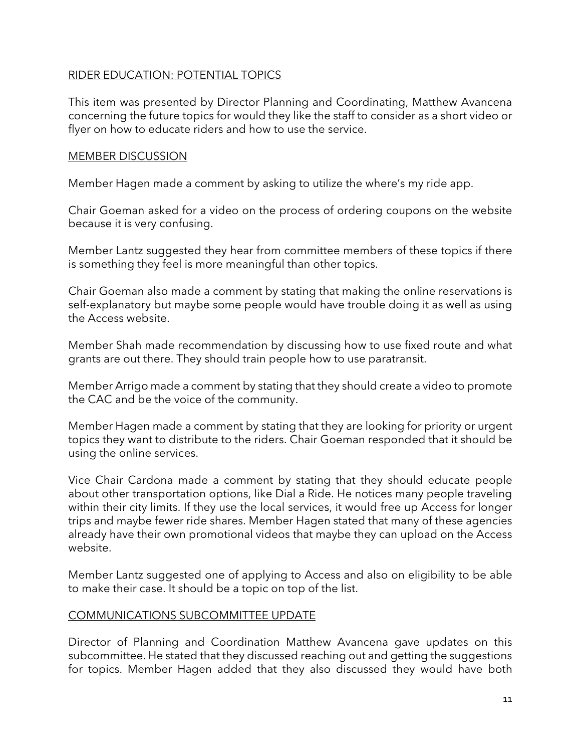#### RIDER EDUCATION: POTENTIAL TOPICS

This item was presented by Director Planning and Coordinating, Matthew Avancena concerning the future topics for would they like the staff to consider as a short video or flyer on how to educate riders and how to use the service.

#### MEMBER DISCUSSION

Member Hagen made a comment by asking to utilize the where's my ride app.

Chair Goeman asked for a video on the process of ordering coupons on the website because it is very confusing.

Member Lantz suggested they hear from committee members of these topics if there is something they feel is more meaningful than other topics.

Chair Goeman also made a comment by stating that making the online reservations is self-explanatory but maybe some people would have trouble doing it as well as using the Access website.

Member Shah made recommendation by discussing how to use fixed route and what grants are out there. They should train people how to use paratransit.

Member Arrigo made a comment by stating that they should create a video to promote the CAC and be the voice of the community.

Member Hagen made a comment by stating that they are looking for priority or urgent topics they want to distribute to the riders. Chair Goeman responded that it should be using the online services.

Vice Chair Cardona made a comment by stating that they should educate people about other transportation options, like Dial a Ride. He notices many people traveling within their city limits. If they use the local services, it would free up Access for longer trips and maybe fewer ride shares. Member Hagen stated that many of these agencies already have their own promotional videos that maybe they can upload on the Access website.

Member Lantz suggested one of applying to Access and also on eligibility to be able to make their case. It should be a topic on top of the list.

#### COMMUNICATIONS SUBCOMMITTEE UPDATE

Director of Planning and Coordination Matthew Avancena gave updates on this subcommittee. He stated that they discussed reaching out and getting the suggestions for topics. Member Hagen added that they also discussed they would have both